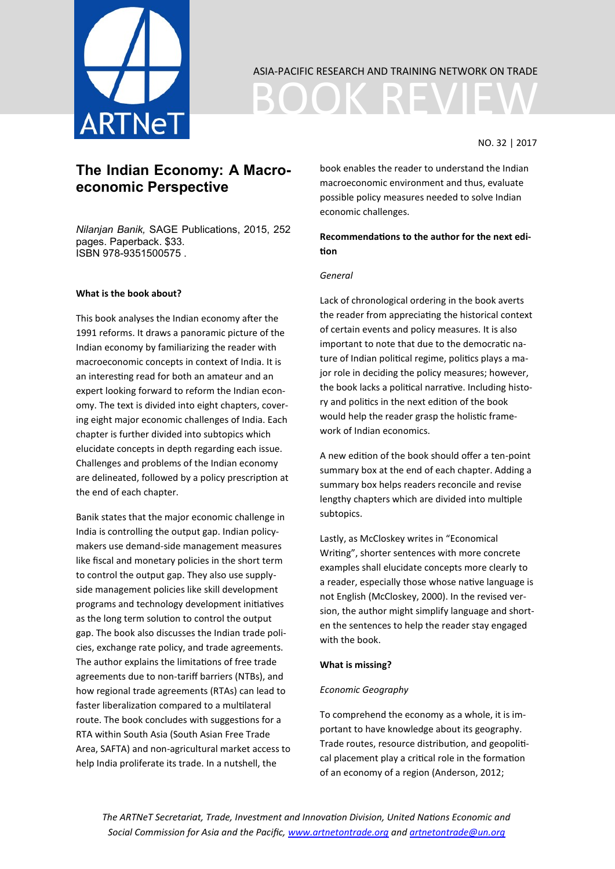

## ASIA-PACIFIC RESEARCH AND TRAINING NETWORK ON TRADE

BOOK REVI

## NO. 32 | 2017

# **The Indian Economy: A Macroeconomic Perspective**

*Nilanjan Banik,* SAGE Publications, 2015, 252 pages. Paperback. \$33. ISBN 978-9351500575 .

## **What is the book about?**

This book analyses the Indian economy after the 1991 reforms. It draws a panoramic picture of the Indian economy by familiarizing the reader with macroeconomic concepts in context of India. It is an interesting read for both an amateur and an expert looking forward to reform the Indian economy. The text is divided into eight chapters, covering eight major economic challenges of India. Each chapter is further divided into subtopics which elucidate concepts in depth regarding each issue. Challenges and problems of the Indian economy are delineated, followed by a policy prescription at the end of each chapter.

Banik states that the major economic challenge in India is controlling the output gap. Indian policymakers use demand-side management measures like fiscal and monetary policies in the short term to control the output gap. They also use supplyside management policies like skill development programs and technology development initiatives as the long term solution to control the output gap. The book also discusses the Indian trade policies, exchange rate policy, and trade agreements. The author explains the limitations of free trade agreements due to non-tariff barriers (NTBs), and how regional trade agreements (RTAs) can lead to faster liberalization compared to a multilateral route. The book concludes with suggestions for a RTA within South Asia (South Asian Free Trade Area, SAFTA) and non-agricultural market access to help India proliferate its trade. In a nutshell, the

book enables the reader to understand the Indian macroeconomic environment and thus, evaluate possible policy measures needed to solve Indian economic challenges.

**Recommendations to the author for the next edition**

## *General*

Lack of chronological ordering in the book averts the reader from appreciating the historical context of certain events and policy measures. It is also important to note that due to the democratic nature of Indian political regime, politics plays a major role in deciding the policy measures; however, the book lacks a political narrative. Including history and politics in the next edition of the book would help the reader grasp the holistic framework of Indian economics.

A new edition of the book should offer a ten-point summary box at the end of each chapter. Adding a summary box helps readers reconcile and revise lengthy chapters which are divided into multiple subtopics.

Lastly, as McCloskey writes in "Economical Writing", shorter sentences with more concrete examples shall elucidate concepts more clearly to a reader, especially those whose native language is not English (McCloskey, 2000). In the revised version, the author might simplify language and shorten the sentences to help the reader stay engaged with the book.

#### **What is missing?**

#### *Economic Geography*

To comprehend the economy as a whole, it is important to have knowledge about its geography. Trade routes, resource distribution, and geopolitical placement play a critical role in the formation of an economy of a region (Anderson, 2012;

*The ARTNeT Secretariat, Trade, Investment and Innovation Division, United Nations Economic and Social Commission for Asia and the Pacific, [www.artnetontrade.org](mailto:artnetontrade@un.org) and [artnetontrade@un.org](mailto:artnetontrade@un.org)*